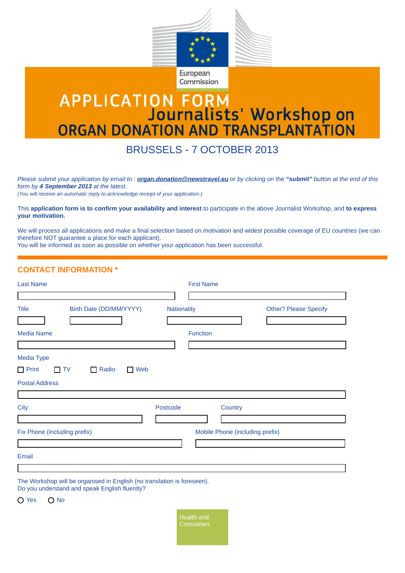

European Commission

## **APPLICATION FORM<br>Journalists' Workshop on<br>ORGAN DONATION AND TRANSPLANTATION**

BRUSSELS - 7 OCTOBER 2013

*Please submit your application by email to : organ.donation@newstravel.eu or by clicking on the "submit" button at the end of this form by 4 September 2013 at the latest.* 

*(You will receive an automatic reply to acknowledge receipt of your application.)* 

This **application form is to confirm your availability and interest** to participate in the above Journalist Workshop, and **to express your motivation.** 

We will process all applications and make a final selection based on motivation and widest possible coverage of EU countries (we can therefore NOT guarantee a place for each applicant).

You will be informed as soon as possible on whether your application has been successful.

## **CONTACT INFORMATION \***

| <b>Last Name</b>                                                                                                         |             | <b>First Name</b> |                                 |                              |
|--------------------------------------------------------------------------------------------------------------------------|-------------|-------------------|---------------------------------|------------------------------|
|                                                                                                                          |             |                   |                                 |                              |
| Birth Date (DD/MM/YYYY)<br><b>Title</b>                                                                                  | Nationality |                   |                                 | <b>Other? Please Specify</b> |
|                                                                                                                          |             |                   |                                 |                              |
| <b>Media Name</b>                                                                                                        |             | <b>Function</b>   |                                 |                              |
|                                                                                                                          |             |                   |                                 |                              |
| Media Type                                                                                                               |             |                   |                                 |                              |
| $\Box$ Print<br>Web<br>Radio<br>$\Box$ TV<br>$\Box$<br>$\mathbf{L}$                                                      |             |                   |                                 |                              |
| <b>Postal Address</b>                                                                                                    |             |                   |                                 |                              |
|                                                                                                                          |             |                   |                                 |                              |
| <b>City</b>                                                                                                              | Postcode    |                   | Country                         |                              |
|                                                                                                                          |             |                   |                                 |                              |
| Fix Phone (including prefix)                                                                                             |             |                   | Mobile Phone (including prefix) |                              |
|                                                                                                                          |             |                   |                                 |                              |
| Email                                                                                                                    |             |                   |                                 |                              |
|                                                                                                                          |             |                   |                                 |                              |
| The Workshop will be organised in English (no translation is foreseen).<br>Do you understand and speak English fluently? |             |                   |                                 |                              |
| $\bigcap$ Yes<br>$\bigcirc$ No                                                                                           |             |                   |                                 |                              |